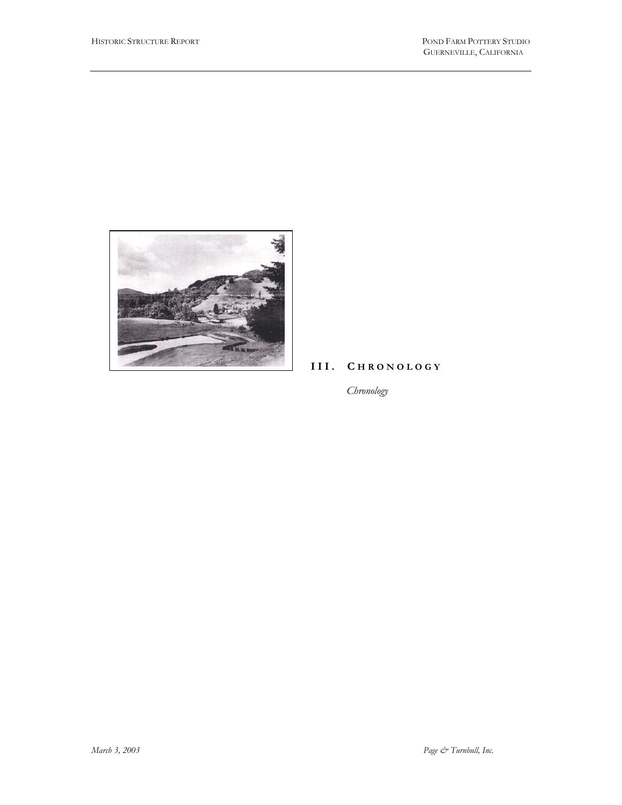

## **III. C HRONOLOGY**

*Chronology*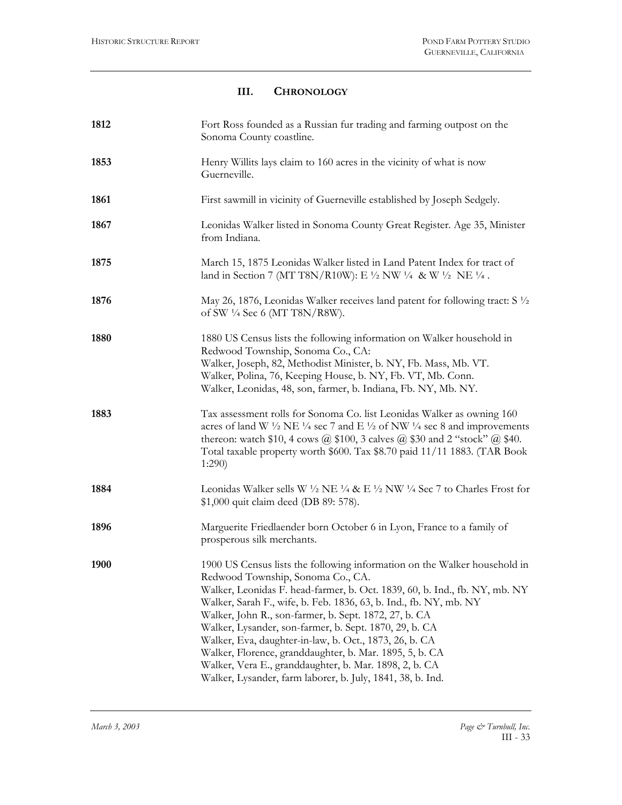## **III. CHRONOLOGY**

| 1812 | Fort Ross founded as a Russian fur trading and farming outpost on the<br>Sonoma County coastline.                                                                                                                                                                                                                                                                                                                                                                                                                                                                                                                                 |
|------|-----------------------------------------------------------------------------------------------------------------------------------------------------------------------------------------------------------------------------------------------------------------------------------------------------------------------------------------------------------------------------------------------------------------------------------------------------------------------------------------------------------------------------------------------------------------------------------------------------------------------------------|
| 1853 | Henry Willits lays claim to 160 acres in the vicinity of what is now<br>Guerneville.                                                                                                                                                                                                                                                                                                                                                                                                                                                                                                                                              |
| 1861 | First sawmill in vicinity of Guerneville established by Joseph Sedgely.                                                                                                                                                                                                                                                                                                                                                                                                                                                                                                                                                           |
| 1867 | Leonidas Walker listed in Sonoma County Great Register. Age 35, Minister<br>from Indiana.                                                                                                                                                                                                                                                                                                                                                                                                                                                                                                                                         |
| 1875 | March 15, 1875 Leonidas Walker listed in Land Patent Index for tract of<br>land in Section 7 (MT T8N/R10W): E $\frac{1}{2}$ NW $\frac{1}{4}$ & W $\frac{1}{2}$ NE $\frac{1}{4}$ .                                                                                                                                                                                                                                                                                                                                                                                                                                                 |
| 1876 | May 26, 1876, Leonidas Walker receives land patent for following tract: $S\frac{1}{2}$<br>of SW 1/4 Sec 6 (MT T8N/R8W).                                                                                                                                                                                                                                                                                                                                                                                                                                                                                                           |
| 1880 | 1880 US Census lists the following information on Walker household in<br>Redwood Township, Sonoma Co., CA:<br>Walker, Joseph, 82, Methodist Minister, b. NY, Fb. Mass, Mb. VT.<br>Walker, Polina, 76, Keeping House, b. NY, Fb. VT, Mb. Conn.<br>Walker, Leonidas, 48, son, farmer, b. Indiana, Fb. NY, Mb. NY.                                                                                                                                                                                                                                                                                                                   |
| 1883 | Tax assessment rolls for Sonoma Co. list Leonidas Walker as owning 160<br>acres of land W $\frac{1}{2}$ NE $\frac{1}{4}$ sec 7 and E $\frac{1}{2}$ of NW $\frac{1}{4}$ sec 8 and improvements<br>thereon: watch \$10, 4 cows @ \$100, 3 calves @ \$30 and 2 "stock" @ \$40.<br>Total taxable property worth \$600. Tax \$8.70 paid 11/11 1883. (TAR Book<br>1:290                                                                                                                                                                                                                                                                 |
| 1884 | Leonidas Walker sells W $\frac{1}{2}$ NE $\frac{1}{4}$ & E $\frac{1}{2}$ NW $\frac{1}{4}$ Sec 7 to Charles Frost for<br>\$1,000 quit claim deed (DB 89: 578).                                                                                                                                                                                                                                                                                                                                                                                                                                                                     |
| 1896 | Marguerite Friedlaender born October 6 in Lyon, France to a family of<br>prosperous silk merchants.                                                                                                                                                                                                                                                                                                                                                                                                                                                                                                                               |
| 1900 | 1900 US Census lists the following information on the Walker household in<br>Redwood Township, Sonoma Co., CA.<br>Walker, Leonidas F. head-farmer, b. Oct. 1839, 60, b. Ind., fb. NY, mb. NY<br>Walker, Sarah F., wife, b. Feb. 1836, 63, b. Ind., fb. NY, mb. NY<br>Walker, John R., son-farmer, b. Sept. 1872, 27, b. CA<br>Walker, Lysander, son-farmer, b. Sept. 1870, 29, b. CA<br>Walker, Eva, daughter-in-law, b. Oct., 1873, 26, b. CA<br>Walker, Florence, granddaughter, b. Mar. 1895, 5, b. CA<br>Walker, Vera E., granddaughter, b. Mar. 1898, 2, b. CA<br>Walker, Lysander, farm laborer, b. July, 1841, 38, b. Ind. |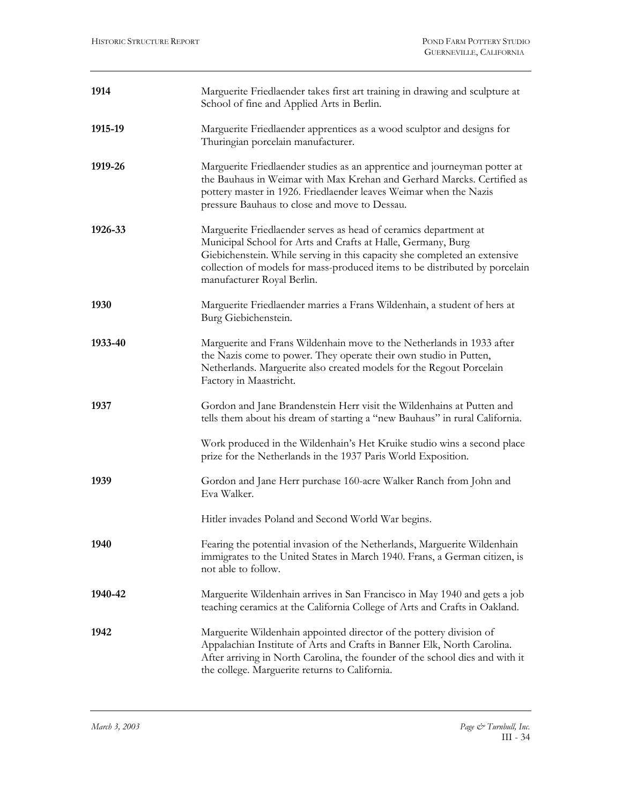| 1914    | Marguerite Friedlaender takes first art training in drawing and sculpture at<br>School of fine and Applied Arts in Berlin.                                                                                                                                                                                                 |
|---------|----------------------------------------------------------------------------------------------------------------------------------------------------------------------------------------------------------------------------------------------------------------------------------------------------------------------------|
| 1915-19 | Marguerite Friedlaender apprentices as a wood sculptor and designs for<br>Thuringian porcelain manufacturer.                                                                                                                                                                                                               |
| 1919-26 | Marguerite Friedlaender studies as an apprentice and journeyman potter at<br>the Bauhaus in Weimar with Max Krehan and Gerhard Marcks. Certified as<br>pottery master in 1926. Friedlaender leaves Weimar when the Nazis<br>pressure Bauhaus to close and move to Dessau.                                                  |
| 1926-33 | Marguerite Friedlaender serves as head of ceramics department at<br>Municipal School for Arts and Crafts at Halle, Germany, Burg<br>Giebichenstein. While serving in this capacity she completed an extensive<br>collection of models for mass-produced items to be distributed by porcelain<br>manufacturer Royal Berlin. |
| 1930    | Marguerite Friedlaender marries a Frans Wildenhain, a student of hers at<br>Burg Giebichenstein.                                                                                                                                                                                                                           |
| 1933-40 | Marguerite and Frans Wildenhain move to the Netherlands in 1933 after<br>the Nazis come to power. They operate their own studio in Putten,<br>Netherlands. Marguerite also created models for the Regout Porcelain<br>Factory in Maastricht.                                                                               |
| 1937    | Gordon and Jane Brandenstein Herr visit the Wildenhains at Putten and<br>tells them about his dream of starting a "new Bauhaus" in rural California.                                                                                                                                                                       |
|         | Work produced in the Wildenhain's Het Kruike studio wins a second place<br>prize for the Netherlands in the 1937 Paris World Exposition.                                                                                                                                                                                   |
| 1939    | Gordon and Jane Herr purchase 160-acre Walker Ranch from John and<br>Eva Walker.                                                                                                                                                                                                                                           |
|         | Hitler invades Poland and Second World War begins.                                                                                                                                                                                                                                                                         |
| 1940    | Fearing the potential invasion of the Netherlands, Marguerite Wildenhain<br>immigrates to the United States in March 1940. Frans, a German citizen, is<br>not able to follow.                                                                                                                                              |
| 1940-42 | Marguerite Wildenhain arrives in San Francisco in May 1940 and gets a job<br>teaching ceramics at the California College of Arts and Crafts in Oakland.                                                                                                                                                                    |
| 1942    | Marguerite Wildenhain appointed director of the pottery division of<br>Appalachian Institute of Arts and Crafts in Banner Elk, North Carolina.<br>After arriving in North Carolina, the founder of the school dies and with it<br>the college. Marguerite returns to California.                                           |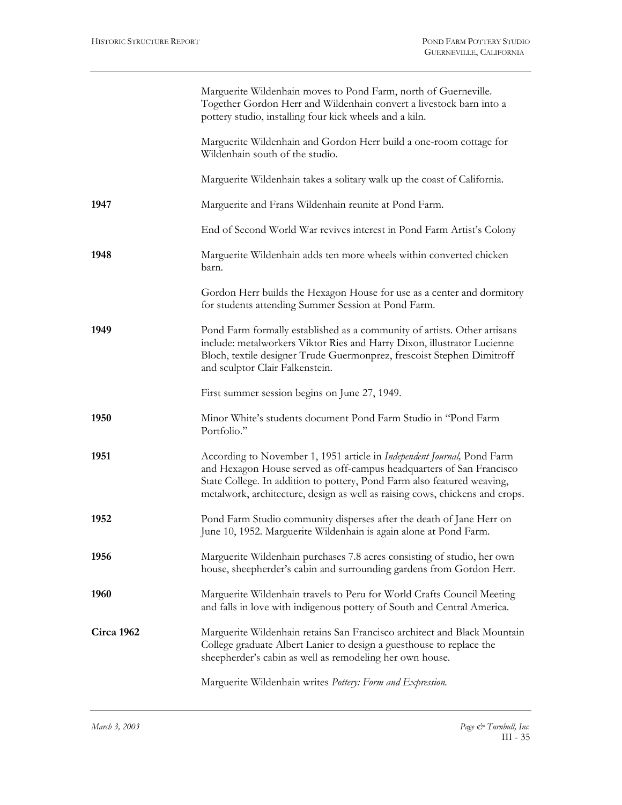|            | Marguerite Wildenhain moves to Pond Farm, north of Guerneville.<br>Together Gordon Herr and Wildenhain convert a livestock barn into a<br>pottery studio, installing four kick wheels and a kiln.                                                                                                          |
|------------|------------------------------------------------------------------------------------------------------------------------------------------------------------------------------------------------------------------------------------------------------------------------------------------------------------|
|            | Marguerite Wildenhain and Gordon Herr build a one-room cottage for<br>Wildenhain south of the studio.                                                                                                                                                                                                      |
|            | Marguerite Wildenhain takes a solitary walk up the coast of California.                                                                                                                                                                                                                                    |
| 1947       | Marguerite and Frans Wildenhain reunite at Pond Farm.                                                                                                                                                                                                                                                      |
|            | End of Second World War revives interest in Pond Farm Artist's Colony                                                                                                                                                                                                                                      |
| 1948       | Marguerite Wildenhain adds ten more wheels within converted chicken<br>barn.                                                                                                                                                                                                                               |
|            | Gordon Herr builds the Hexagon House for use as a center and dormitory<br>for students attending Summer Session at Pond Farm.                                                                                                                                                                              |
| 1949       | Pond Farm formally established as a community of artists. Other artisans<br>include: metalworkers Viktor Ries and Harry Dixon, illustrator Lucienne<br>Bloch, textile designer Trude Guermonprez, frescoist Stephen Dimitroff<br>and sculptor Clair Falkenstein.                                           |
|            | First summer session begins on June 27, 1949.                                                                                                                                                                                                                                                              |
| 1950       | Minor White's students document Pond Farm Studio in "Pond Farm<br>Portfolio."                                                                                                                                                                                                                              |
| 1951       | According to November 1, 1951 article in Independent Journal, Pond Farm<br>and Hexagon House served as off-campus headquarters of San Francisco<br>State College. In addition to pottery, Pond Farm also featured weaving,<br>metalwork, architecture, design as well as raising cows, chickens and crops. |
| 1952       | Pond Farm Studio community disperses after the death of Jane Herr on<br>June 10, 1952. Marguerite Wildenhain is again alone at Pond Farm.                                                                                                                                                                  |
| 1956       | Marguerite Wildenhain purchases 7.8 acres consisting of studio, her own<br>house, sheepherder's cabin and surrounding gardens from Gordon Herr.                                                                                                                                                            |
| 1960       | Marguerite Wildenhain travels to Peru for World Crafts Council Meeting<br>and falls in love with indigenous pottery of South and Central America.                                                                                                                                                          |
| Circa 1962 | Marguerite Wildenhain retains San Francisco architect and Black Mountain<br>College graduate Albert Lanier to design a guesthouse to replace the<br>sheepherder's cabin as well as remodeling her own house.                                                                                               |
|            | Marguerite Wildenhain writes Pottery: Form and Expression.                                                                                                                                                                                                                                                 |